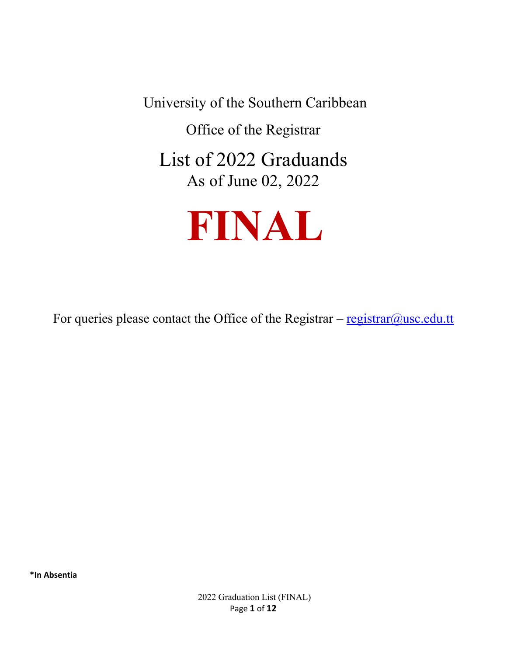University of the Southern Caribbean

Office of the Registrar

List of 2022 Graduands As of June 02, 2022



For queries please contact the Office of the Registrar  $-\frac{resistrar@usc.edu.tt}{resistar@usc.edu.tt}$ 

**\*In Absentia**

2022 Graduation List (FINAL) Page **1** of **12**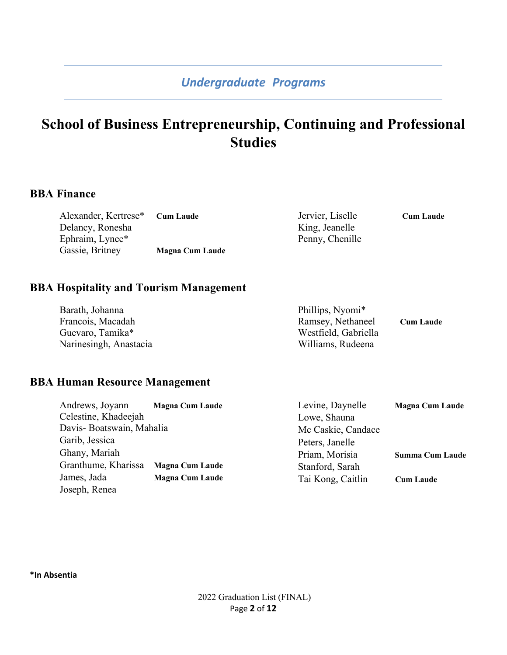# **School of Business Entrepreneurship, Continuing and Professional Studies**

#### **BBA Finance**

| Alexander, Kertrese* | <b>Cum Laude</b>       | Jervier, Liselle | <b>Cum Laude</b> |
|----------------------|------------------------|------------------|------------------|
| Delancy, Ronesha     |                        | King, Jeanelle   |                  |
| Ephraim, Lynee*      |                        | Penny, Chenille  |                  |
| Gassie, Britney      | <b>Magna Cum Laude</b> |                  |                  |

#### **BBA Hospitality and Tourism Management**

| Barath, Johanna        | Phillips, Nyomi*     |                  |
|------------------------|----------------------|------------------|
| Francois, Macadah      | Ramsey, Nethaneel    | <b>Cum Laude</b> |
| Guevaro, Tamika*       | Westfield, Gabriella |                  |
| Narinesingh, Anastacia | Williams, Rudeena    |                  |

#### **BBA Human Resource Management**

| Andrews, Joyann          | <b>Magna Cum Laude</b> | Levine, Daynelle   | <b>Magna Cum Laude</b> |
|--------------------------|------------------------|--------------------|------------------------|
| Celestine, Khadeejah     |                        | Lowe, Shauna       |                        |
| Davis-Boatswain, Mahalia |                        | Mc Caskie, Candace |                        |
| Garib, Jessica           |                        | Peters, Janelle    |                        |
| Ghany, Mariah            |                        | Priam, Morisia     | <b>Summa Cum Laude</b> |
| Granthume, Kharissa      | <b>Magna Cum Laude</b> | Stanford, Sarah    |                        |
| James, Jada              | <b>Magna Cum Laude</b> | Tai Kong, Caitlin  | <b>Cum Laude</b>       |
| Joseph, Renea            |                        |                    |                        |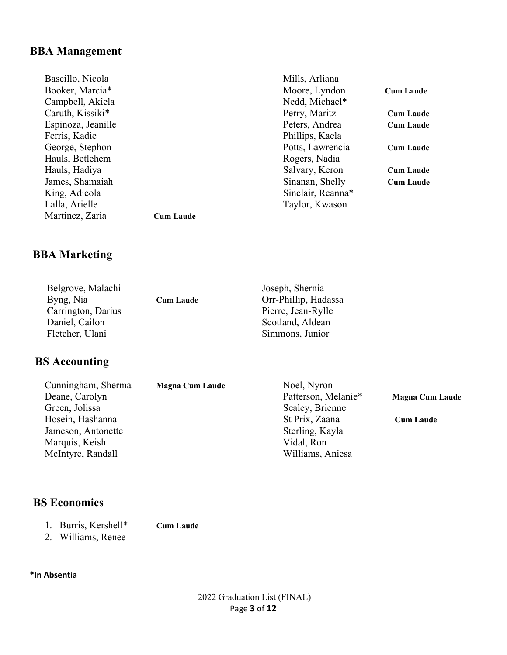## **BBA Management**

| Bascillo, Nicola   |                  | Mills, Arliana    |                  |
|--------------------|------------------|-------------------|------------------|
| Booker, Marcia*    |                  | Moore, Lyndon     | <b>Cum Laude</b> |
| Campbell, Akiela   |                  | Nedd, Michael*    |                  |
| Caruth, Kissiki*   |                  | Perry, Maritz     | <b>Cum Laude</b> |
| Espinoza, Jeanille |                  | Peters, Andrea    | <b>Cum Laude</b> |
| Ferris, Kadie      |                  | Phillips, Kaela   |                  |
| George, Stephon    |                  | Potts, Lawrencia  | <b>Cum Laude</b> |
| Hauls, Betlehem    |                  | Rogers, Nadia     |                  |
| Hauls, Hadiya      |                  | Salvary, Keron    | <b>Cum Laude</b> |
| James, Shamaiah    |                  | Sinanan, Shelly   | <b>Cum Laude</b> |
| King, Adieola      |                  | Sinclair, Reanna* |                  |
| Lalla, Arielle     |                  | Taylor, Kwason    |                  |
| Martinez, Zaria    | <b>Cum Laude</b> |                   |                  |

## **BBA Marketing**

| Belgrove, Malachi<br>Byng, Nia | <b>Cum Laude</b> | Joseph, Shernia<br>Orr-Phillip, Hadassa |
|--------------------------------|------------------|-----------------------------------------|
| Carrington, Darius             |                  | Pierre, Jean-Rylle                      |
| Daniel, Cailon                 |                  | Scotland, Aldean                        |
| Fletcher, Ulani                |                  | Simmons, Junior                         |

# **BS Accounting**

| Cunningham, Sherma | <b>Magna Cum Laude</b> | Noel, Nyron         |                        |
|--------------------|------------------------|---------------------|------------------------|
| Deane, Carolyn     |                        | Patterson, Melanie* | <b>Magna Cum Laude</b> |
| Green, Jolissa     |                        | Sealey, Brienne     |                        |
| Hosein, Hashanna   |                        | St Prix, Zaana      | <b>Cum Laude</b>       |
| Jameson, Antonette |                        | Sterling, Kayla     |                        |
| Marquis, Keish     |                        | Vidal, Ron          |                        |
| McIntyre, Randall  |                        | Williams, Aniesa    |                        |
|                    |                        |                     |                        |

## **BS Economics**

- 1. Burris, Kershell\* **Cum Laude** 2. Williams, Renee
-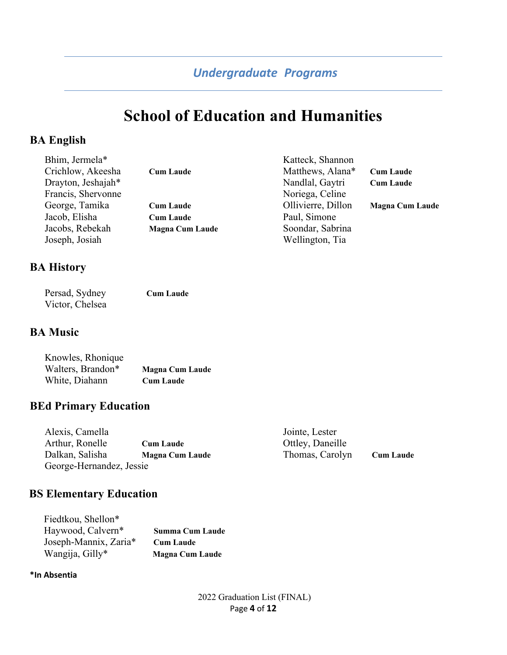# **School of Education and Humanities**

## **BA English**

| Bhim, Jermela*     |                        | Katteck, Shannon   |                        |
|--------------------|------------------------|--------------------|------------------------|
| Crichlow, Akeesha  | <b>Cum Laude</b>       | Matthews, Alana*   | <b>Cum Laude</b>       |
| Drayton, Jeshajah* |                        | Nandlal, Gaytri    | <b>Cum Laude</b>       |
| Francis, Shervonne |                        | Noriega, Celine    |                        |
| George, Tamika     | <b>Cum Laude</b>       | Ollivierre, Dillon | <b>Magna Cum Laude</b> |
| Jacob, Elisha      | <b>Cum Laude</b>       | Paul, Simone       |                        |
| Jacobs, Rebekah    | <b>Magna Cum Laude</b> | Soondar, Sabrina   |                        |
| Joseph, Josiah     |                        | Wellington, Tia    |                        |
|                    |                        |                    |                        |

#### **BA History**

| Persad, Sydney  | <b>Cum Laude</b> |
|-----------------|------------------|
| Victor, Chelsea |                  |

#### **BA Music**

| Knowles, Rhonique |                        |
|-------------------|------------------------|
| Walters, Brandon* | <b>Magna Cum Laude</b> |
| White, Diahann    | <b>Cum Laude</b>       |

## **BEd Primary Education**

| Alexis, Camella          |                        | Jointe, Lester   |                  |
|--------------------------|------------------------|------------------|------------------|
| Arthur, Ronelle          | <b>Cum Laude</b>       | Ottley, Daneille |                  |
| Dalkan, Salisha          | <b>Magna Cum Laude</b> | Thomas, Carolyn  | <b>Cum Laude</b> |
| George-Hernandez, Jessie |                        |                  |                  |

# **BS Elementary Education**

| Fiedtkou, Shellon*    |                        |
|-----------------------|------------------------|
| Haywood, Calvern*     | <b>Summa Cum Laude</b> |
| Joseph-Mannix, Zaria* | <b>Cum Laude</b>       |
| Wangija, Gilly*       | <b>Magna Cum Laude</b> |

#### **\*In Absentia**

2022 Graduation List (FINAL) Page **4** of **12**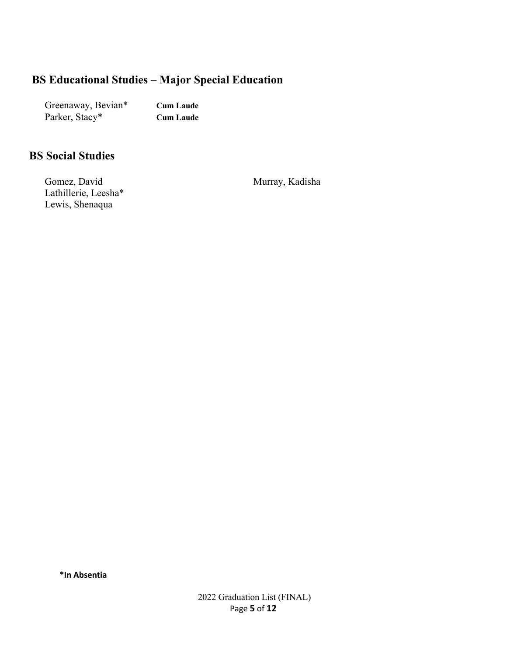## **BS Educational Studies – Major Special Education**

Greenaway, Bevian\* **Cum Laude** Parker, Stacy\* **Cum Laude**

#### **BS Social Studies**

Gomez, David Lathillerie, Leesha\* Lewis, Shenaqua

Murray, Kadisha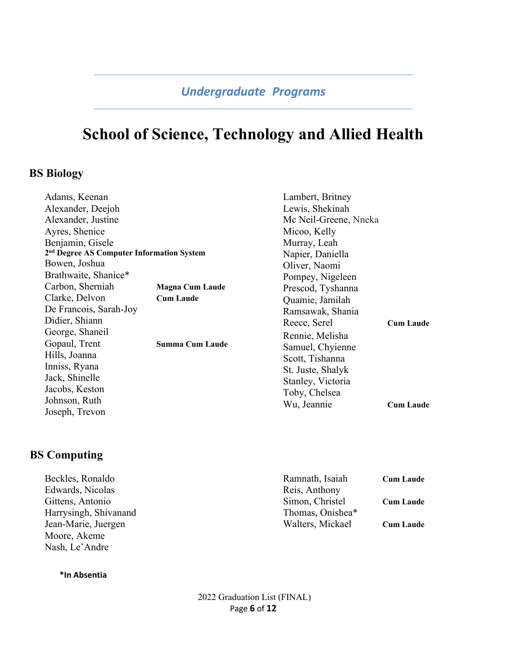# **School of Science, Technology and Allied Health**

#### **BS Biology**

| Adams, Keenan                                         |                        | Lambert, Britney      |                  |
|-------------------------------------------------------|------------------------|-----------------------|------------------|
| Alexander, Deejoh                                     |                        | Lewis, Shekinah       |                  |
| Alexander, Justine                                    |                        | Mc Neil-Greene, Nneka |                  |
| Ayres, Shenice                                        |                        | Micoo, Kelly          |                  |
| Benjamin, Gisele                                      |                        | Murray, Leah          |                  |
| 2 <sup>nd</sup> Degree AS Computer Information System |                        | Napier, Daniella      |                  |
| Bowen, Joshua                                         |                        | Oliver, Naomi         |                  |
| Brathwaite, Shanice*                                  |                        | Pompey, Nigeleen      |                  |
| Carbon, Sherniah                                      | <b>Magna Cum Laude</b> | Prescod, Tyshanna     |                  |
| Clarke, Delvon                                        | <b>Cum Laude</b>       | Quamie, Jamilah       |                  |
| De Francois, Sarah-Joy                                |                        | Ramsawak, Shania      |                  |
| Didier, Shiann                                        |                        | Reece, Serel          | <b>Cum Laude</b> |
| George, Shaneil                                       |                        | Rennie, Melisha       |                  |
| Gopaul, Trent<br><b>Summa Cum Laude</b>               |                        | Samuel, Chyienne      |                  |
| Hills, Joanna                                         |                        | Scott, Tishanna       |                  |
| Inniss, Ryana                                         |                        | St. Juste, Shalyk     |                  |
| Jack, Shinelle                                        |                        | Stanley, Victoria     |                  |
| Jacobs, Keston                                        |                        | Toby, Chelsea         |                  |
| Johnson, Ruth                                         |                        | Wu, Jeannie           | <b>Cum Laude</b> |
| Joseph, Trevon                                        |                        |                       |                  |

#### **BS Computing**

| Beckles, Ronaldo      | Ramnath, Isaiah  | <b>Cum Laude</b> |
|-----------------------|------------------|------------------|
| Edwards, Nicolas      | Reis, Anthony    |                  |
| Gittens, Antonio      | Simon, Christel  | <b>Cum Laude</b> |
| Harrysingh, Shivanand | Thomas, Onishea* |                  |
| Jean-Marie, Juergen   | Walters, Mickael | <b>Cum Laude</b> |
| Moore, Akeme          |                  |                  |
| Nash, Le'Andre        |                  |                  |

**\*In Absentia**

2022 Graduation List (FINAL) Page **6** of **12**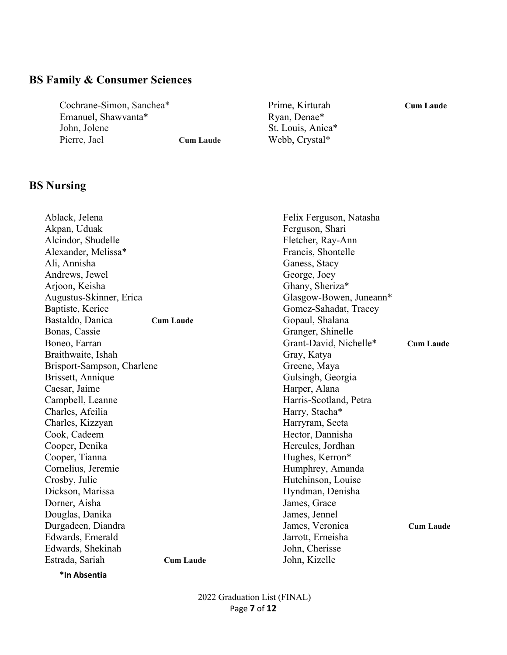# **BS Family & Consumer Sciences**

Cochrane-Simon, Sanchea\* Emanuel, Shawvanta\* John, Jolene Pierre, Jael **Cum Laude**

**BS Nursing**

Prime, Kirturah **Cum Laude** Ryan, Denae\* St. Louis, Anica\* Webb, Crystal\*

| Ablack, Jelena             |                  | Felix Ferguson, Natasha |                  |
|----------------------------|------------------|-------------------------|------------------|
| Akpan, Uduak               |                  | Ferguson, Shari         |                  |
| Alcindor, Shudelle         |                  | Fletcher, Ray-Ann       |                  |
| Alexander, Melissa*        |                  | Francis, Shontelle      |                  |
| Ali, Annisha               |                  | Ganess, Stacy           |                  |
| Andrews, Jewel             |                  | George, Joey            |                  |
| Arjoon, Keisha             |                  | Ghany, Sheriza*         |                  |
| Augustus-Skinner, Erica    |                  | Glasgow-Bowen, Juneann* |                  |
| Baptiste, Kerice           |                  | Gomez-Sahadat, Tracey   |                  |
| Bastaldo, Danica           | <b>Cum Laude</b> | Gopaul, Shalana         |                  |
| Bonas, Cassie              |                  | Granger, Shinelle       |                  |
| Boneo, Farran              |                  | Grant-David, Nichelle*  | <b>Cum Laude</b> |
| Braithwaite, Ishah         |                  | Gray, Katya             |                  |
| Brisport-Sampson, Charlene |                  | Greene, Maya            |                  |
| Brissett, Annique          |                  | Gulsingh, Georgia       |                  |
| Caesar, Jaime              |                  | Harper, Alana           |                  |
| Campbell, Leanne           |                  | Harris-Scotland, Petra  |                  |
| Charles, Afeilia           |                  | Harry, Stacha*          |                  |
| Charles, Kizzyan           |                  | Harryram, Seeta         |                  |
| Cook, Cadeem               |                  | Hector, Dannisha        |                  |
| Cooper, Denika             |                  | Hercules, Jordhan       |                  |
| Cooper, Tianna             |                  | Hughes, Kerron*         |                  |
| Cornelius, Jeremie         |                  | Humphrey, Amanda        |                  |
| Crosby, Julie              |                  | Hutchinson, Louise      |                  |
| Dickson, Marissa           |                  | Hyndman, Denisha        |                  |
| Dorner, Aisha              |                  | James, Grace            |                  |
| Douglas, Danika            |                  | James, Jennel           |                  |
| Durgadeen, Diandra         |                  | James, Veronica         | <b>Cum Laude</b> |
| Edwards, Emerald           |                  | Jarrott, Erneisha       |                  |
| Edwards, Shekinah          |                  | John, Cherisse          |                  |
| Estrada, Sariah            | <b>Cum Laude</b> | John, Kizelle           |                  |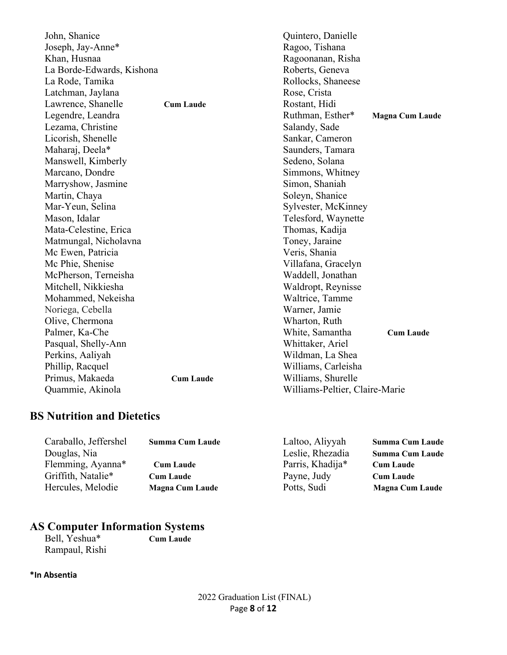| John, Shanice             |                  | Quintero, Danielle             |                        |
|---------------------------|------------------|--------------------------------|------------------------|
| Joseph, Jay-Anne*         |                  | Ragoo, Tishana                 |                        |
| Khan, Husnaa              |                  | Ragoonanan, Risha              |                        |
| La Borde-Edwards, Kishona |                  | Roberts, Geneva                |                        |
| La Rode, Tamika           |                  | Rollocks, Shaneese             |                        |
| Latchman, Jaylana         |                  | Rose, Crista                   |                        |
| Lawrence, Shanelle        | <b>Cum Laude</b> | Rostant, Hidi                  |                        |
| Legendre, Leandra         |                  | Ruthman, Esther*               | <b>Magna Cum Laude</b> |
| Lezama, Christine         |                  | Salandy, Sade                  |                        |
| Licorish, Shenelle        |                  | Sankar, Cameron                |                        |
| Maharaj, Deela*           |                  | Saunders, Tamara               |                        |
| Manswell, Kimberly        |                  | Sedeno, Solana                 |                        |
| Marcano, Dondre           |                  | Simmons, Whitney               |                        |
| Marryshow, Jasmine        |                  | Simon, Shaniah                 |                        |
| Martin, Chaya             |                  | Soleyn, Shanice                |                        |
| Mar-Yeun, Selina          |                  | Sylvester, McKinney            |                        |
| Mason, Idalar             |                  | Telesford, Waynette            |                        |
| Mata-Celestine, Erica     |                  | Thomas, Kadija                 |                        |
| Matmungal, Nicholavna     |                  | Toney, Jaraine                 |                        |
| Mc Ewen, Patricia         |                  | Veris, Shania                  |                        |
| Mc Phie, Shenise          |                  | Villafana, Gracelyn            |                        |
| McPherson, Terneisha      |                  | Waddell, Jonathan              |                        |
| Mitchell, Nikkiesha       |                  | Waldropt, Reynisse             |                        |
| Mohammed, Nekeisha        |                  | Waltrice, Tamme                |                        |
| Noriega, Cebella          |                  | Warner, Jamie                  |                        |
| Olive, Chermona           |                  | Wharton, Ruth                  |                        |
| Palmer, Ka-Che            |                  | White, Samantha                | <b>Cum Laude</b>       |
| Pasqual, Shelly-Ann       |                  | Whittaker, Ariel               |                        |
| Perkins, Aaliyah          |                  | Wildman, La Shea               |                        |
| Phillip, Racquel          |                  | Williams, Carleisha            |                        |
| Primus, Makaeda           | <b>Cum Laude</b> | Williams, Shurelle             |                        |
| Quammie, Akinola          |                  | Williams-Peltier, Claire-Marie |                        |

# **BS Nutrition and Dietetics**

| Caraballo, Jeffershel | <b>Summa Cum Laude</b> | Laltoo, Aliyyah  | <b>Summa Cum Laude</b> |
|-----------------------|------------------------|------------------|------------------------|
| Douglas, Nia          |                        | Leslie, Rhezadia | <b>Summa Cum Laude</b> |
| Flemming, Ayanna*     | <b>Cum Laude</b>       | Parris, Khadija* | <b>Cum Laude</b>       |
| Griffith, Natalie*    | <b>Cum Laude</b>       | Payne, Judy      | <b>Cum Laude</b>       |
| Hercules, Melodie     | <b>Magna Cum Laude</b> | Potts, Sudi      | <b>Magna Cum Laude</b> |
|                       |                        |                  |                        |

# **AS Computer Information Systems**

Rampaul, Rishi

Bell, Yeshua\* **Cum Laude**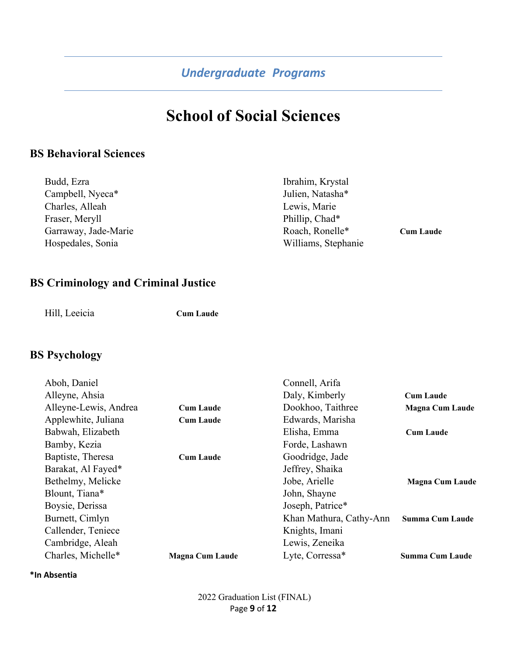# **School of Social Sciences**

## **BS Behavioral Sciences**

| Budd, Ezra           | Ibrahim, Krystal    |                  |
|----------------------|---------------------|------------------|
| Campbell, Nyeca*     | Julien, Natasha*    |                  |
| Charles, Alleah      | Lewis, Marie        |                  |
| Fraser, Meryll       | Phillip, Chad*      |                  |
| Garraway, Jade-Marie | Roach, Ronelle*     | <b>Cum Laude</b> |
| Hospedales, Sonia    | Williams, Stephanie |                  |

## **BS Criminology and Criminal Justice**

Hill, Leeicia **Cum Laude**

## **BS Psychology**

|                        | Connell, Arifa          |                        |
|------------------------|-------------------------|------------------------|
|                        | Daly, Kimberly          | <b>Cum Laude</b>       |
| <b>Cum Laude</b>       | Dookhoo, Taithree       | <b>Magna Cum Laude</b> |
| <b>Cum Laude</b>       | Edwards, Marisha        |                        |
|                        | Elisha, Emma            | <b>Cum Laude</b>       |
|                        | Forde, Lashawn          |                        |
| <b>Cum Laude</b>       | Goodridge, Jade         |                        |
|                        | Jeffrey, Shaika         |                        |
|                        | Jobe, Arielle           | <b>Magna Cum Laude</b> |
|                        | John, Shayne            |                        |
|                        | Joseph, Patrice*        |                        |
|                        | Khan Mathura, Cathy-Ann | <b>Summa Cum Laude</b> |
|                        | Knights, Imani          |                        |
|                        | Lewis, Zeneika          |                        |
| <b>Magna Cum Laude</b> | Lyte, Corressa*         | <b>Summa Cum Laude</b> |
|                        |                         |                        |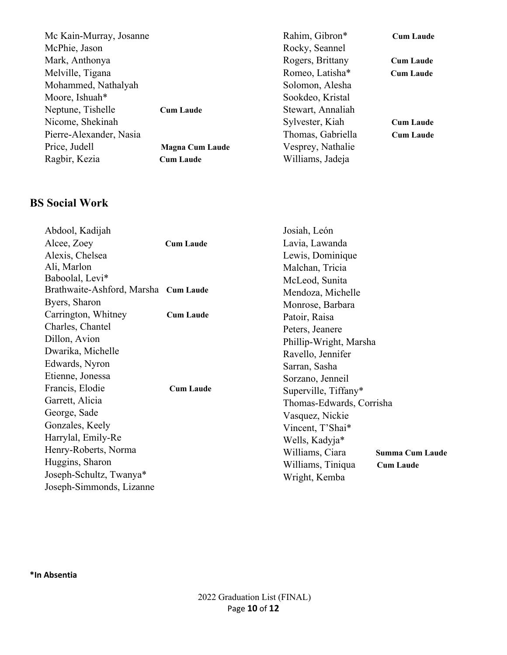| Mc Kain-Murray, Josanne |                        | Rahim, Gibron*    | <b>Cum Laude</b> |
|-------------------------|------------------------|-------------------|------------------|
| McPhie, Jason           |                        | Rocky, Seannel    |                  |
| Mark, Anthonya          |                        | Rogers, Brittany  | <b>Cum Laude</b> |
| Melville, Tigana        |                        | Romeo, Latisha*   | <b>Cum Laude</b> |
| Mohammed, Nathalyah     |                        | Solomon, Alesha   |                  |
| Moore, Ishuah*          |                        | Sookdeo, Kristal  |                  |
| Neptune, Tishelle       | <b>Cum Laude</b>       | Stewart, Annaliah |                  |
| Nicome, Shekinah        |                        | Sylvester, Kiah   | <b>Cum Laude</b> |
| Pierre-Alexander, Nasia |                        | Thomas, Gabriella | <b>Cum Laude</b> |
| Price, Judell           | <b>Magna Cum Laude</b> | Vesprey, Nathalie |                  |
| Ragbir, Kezia           | <b>Cum Laude</b>       | Williams, Jadeja  |                  |
|                         |                        |                   |                  |

# **BS Social Work**

| Abdool, Kadijah<br>Alcee, Zoey<br>Alexis, Chelsea<br>Ali, Marlon<br>Baboolal, Levi* | <b>Cum Laude</b> | Josiah, León<br>Lavia, Lawanda<br>Lewis, Dominique<br>Malchan, Tricia<br>McLeod, Sunita |                        |
|-------------------------------------------------------------------------------------|------------------|-----------------------------------------------------------------------------------------|------------------------|
| Brathwaite-Ashford, Marsha Cum Laude                                                |                  | Mendoza, Michelle                                                                       |                        |
| Byers, Sharon                                                                       |                  | Monrose, Barbara                                                                        |                        |
| Carrington, Whitney                                                                 | <b>Cum Laude</b> | Patoir, Raisa                                                                           |                        |
| Charles, Chantel                                                                    |                  | Peters, Jeanere                                                                         |                        |
| Dillon, Avion                                                                       |                  | Phillip-Wright, Marsha                                                                  |                        |
| Dwarika, Michelle                                                                   |                  | Ravello, Jennifer                                                                       |                        |
| Edwards, Nyron                                                                      |                  | Sarran, Sasha                                                                           |                        |
| Etienne, Jonessa                                                                    |                  | Sorzano, Jenneil                                                                        |                        |
| Francis, Elodie                                                                     | <b>Cum Laude</b> | Superville, Tiffany*                                                                    |                        |
| Garrett, Alicia                                                                     |                  | Thomas-Edwards, Corrisha                                                                |                        |
| George, Sade                                                                        |                  | Vasquez, Nickie                                                                         |                        |
| Gonzales, Keely                                                                     |                  | Vincent, T'Shai*                                                                        |                        |
| Harrylal, Emily-Re                                                                  |                  | Wells, Kadyja*                                                                          |                        |
| Henry-Roberts, Norma                                                                |                  | Williams, Ciara                                                                         | <b>Summa Cum Laude</b> |
| Huggins, Sharon                                                                     |                  | Williams, Tiniqua                                                                       | <b>Cum Laude</b>       |
| Joseph-Schultz, Twanya*                                                             |                  | Wright, Kemba                                                                           |                        |
| Joseph-Simmonds, Lizanne                                                            |                  |                                                                                         |                        |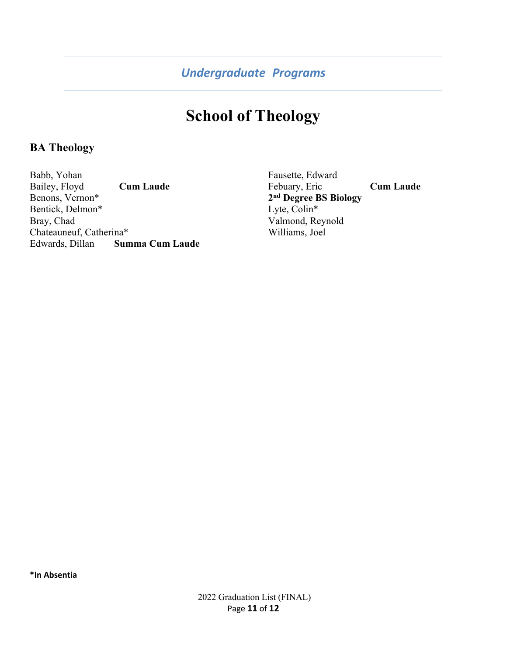# **School of Theology**

#### **BA Theology**

Babb, Yohan Bailey, Floyd **Cum Laude** Benons, Vernon\* Bentick, Delmon\* Bray, Chad Chateauneuf, Catherina\* Edwards, Dillan **Summa Cum Laude**  Fausette, Edward Febuary, Eric **Cum Laude 2nd Degree BS Biology** Lyte, Colin\* Valmond, Reynold Williams, Joel